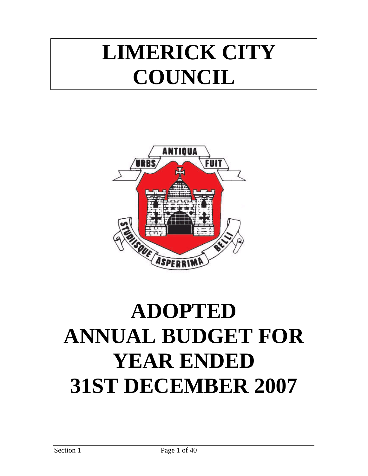# **LIMERICK CITY COUNCIL**



# **ADOPTED ANNUAL BUDGET FOR YEAR ENDED 31ST DECEMBER 2007**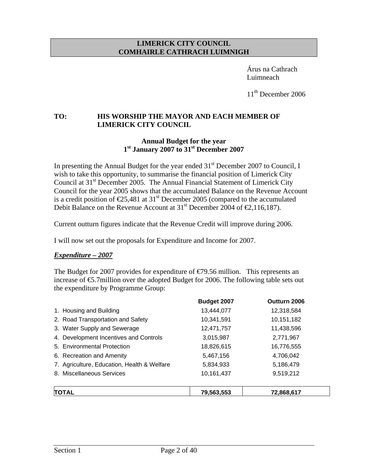#### **LIMERICK CITY COUNCIL COMHAIRLE CATHRACH LUIMNIGH**

 Árus na Cathrach Luimneach

11<sup>th</sup> December 2006

## **TO: HIS WORSHIP THE MAYOR AND EACH MEMBER OF LIMERICK CITY COUNCIL**

#### **Annual Budget for the year 1st January 2007 to 31st December 2007**

In presenting the Annual Budget for the year ended  $31<sup>st</sup>$  December 2007 to Council, I wish to take this opportunity, to summarise the financial position of Limerick City Council at 31<sup>st</sup> December 2005. The Annual Financial Statement of Limerick City Council for the year 2005 shows that the accumulated Balance on the Revenue Account is a credit position of  $\epsilon$ 25,481 at 31<sup>st</sup> December 2005 (compared to the accumulated Debit Balance on the Revenue Account at 31<sup>st</sup> December 2004 of  $\epsilon$ , 116, 187).

Current outturn figures indicate that the Revenue Credit will improve during 2006.

I will now set out the proposals for Expenditure and Income for 2007.

#### *Expenditure – 2007*

The Budget for 2007 provides for expenditure of  $\epsilon$  (79.56 million. This represents an increase of  $\epsilon$ 5.7 million over the adopted Budget for 2006. The following table sets out the expenditure by Programme Group:

|                                             | Budget 2007 | Outturn 2006 |
|---------------------------------------------|-------------|--------------|
| 1. Housing and Building                     | 13,444,077  | 12,318,584   |
| 2. Road Transportation and Safety           | 10,341,591  | 10,151,182   |
| 3. Water Supply and Sewerage                | 12,471,757  | 11,438,596   |
| 4. Development Incentives and Controls      | 3,015,987   | 2,771,967    |
| 5. Environmental Protection                 | 18,826,615  | 16,776,555   |
| 6. Recreation and Amenity                   | 5,467,156   | 4,706,042    |
| 7. Agriculture, Education, Health & Welfare | 5,834,933   | 5,186,479    |
| 8. Miscellaneous Services                   | 10,161,437  | 9,519,212    |
| <b>TOTAL</b>                                | 79,563,553  | 72,868,617   |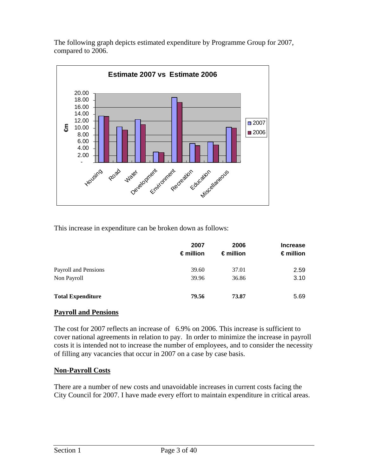The following graph depicts estimated expenditure by Programme Group for 2007, compared to 2006.



This increase in expenditure can be broken down as follows:

|                          | 2007<br>$\epsilon$ million | 2006<br>$\epsilon$ million | <b>Increase</b><br>$\epsilon$ million |
|--------------------------|----------------------------|----------------------------|---------------------------------------|
| Payroll and Pensions     | 39.60                      | 37.01                      | 2.59                                  |
| Non Payroll              | 39.96                      | 36.86                      | 3.10                                  |
| <b>Total Expenditure</b> | 79.56                      | 73.87                      | 5.69                                  |

## **Payroll and Pensions**

The cost for 2007 reflects an increase of 6.9% on 2006. This increase is sufficient to cover national agreements in relation to pay. In order to minimize the increase in payroll costs it is intended not to increase the number of employees, and to consider the necessity of filling any vacancies that occur in 2007 on a case by case basis.

## **Non-Payroll Costs**

There are a number of new costs and unavoidable increases in current costs facing the City Council for 2007. I have made every effort to maintain expenditure in critical areas.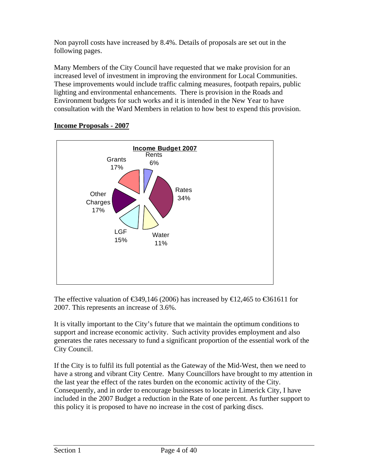Non payroll costs have increased by 8.4%. Details of proposals are set out in the following pages.

Many Members of the City Council have requested that we make provision for an increased level of investment in improving the environment for Local Communities. These improvements would include traffic calming measures, footpath repairs, public lighting and environmental enhancements. There is provision in the Roads and Environment budgets for such works and it is intended in the New Year to have consultation with the Ward Members in relation to how best to expend this provision.



## **Income Proposals - 2007**

The effective valuation of  $\epsilon$ 349,146 (2006) has increased by  $\epsilon$ 12,465 to  $\epsilon$ 361611 for 2007. This represents an increase of 3.6%.

It is vitally important to the City's future that we maintain the optimum conditions to support and increase economic activity. Such activity provides employment and also generates the rates necessary to fund a significant proportion of the essential work of the City Council.

If the City is to fulfil its full potential as the Gateway of the Mid-West, then we need to have a strong and vibrant City Centre. Many Councillors have brought to my attention in the last year the effect of the rates burden on the economic activity of the City. Consequently, and in order to encourage businesses to locate in Limerick City, I have included in the 2007 Budget a reduction in the Rate of one percent. As further support to this policy it is proposed to have no increase in the cost of parking discs.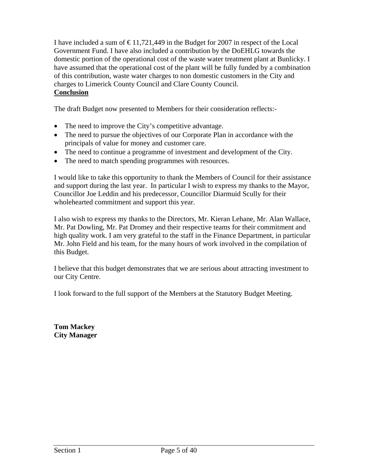I have included a sum of  $\epsilon$ 11,721,449 in the Budget for 2007 in respect of the Local Government Fund. I have also included a contribution by the DoEHLG towards the domestic portion of the operational cost of the waste water treatment plant at Bunlicky. I have assumed that the operational cost of the plant will be fully funded by a combination of this contribution, waste water charges to non domestic customers in the City and charges to Limerick County Council and Clare County Council. **Conclusion**

The draft Budget now presented to Members for their consideration reflects:-

- The need to improve the City's competitive advantage.
- The need to pursue the objectives of our Corporate Plan in accordance with the principals of value for money and customer care.
- The need to continue a programme of investment and development of the City.
- The need to match spending programmes with resources.

I would like to take this opportunity to thank the Members of Council for their assistance and support during the last year. In particular I wish to express my thanks to the Mayor, Councillor Joe Leddin and his predecessor, Councillor Diarmuid Scully for their wholehearted commitment and support this year.

I also wish to express my thanks to the Directors, Mr. Kieran Lehane, Mr. Alan Wallace, Mr. Pat Dowling, Mr. Pat Dromey and their respective teams for their commitment and high quality work. I am very grateful to the staff in the Finance Department, in particular Mr. John Field and his team, for the many hours of work involved in the compilation of this Budget.

I believe that this budget demonstrates that we are serious about attracting investment to our City Centre.

I look forward to the full support of the Members at the Statutory Budget Meeting.

**Tom Mackey City Manager**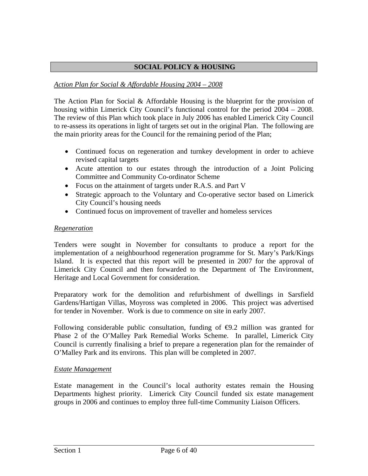## **SOCIAL POLICY & HOUSING**

### *Action Plan for Social & Affordable Housing 2004 – 2008*

The Action Plan for Social & Affordable Housing is the blueprint for the provision of housing within Limerick City Council's functional control for the period 2004 – 2008. The review of this Plan which took place in July 2006 has enabled Limerick City Council to re-assess its operations in light of targets set out in the original Plan. The following are the main priority areas for the Council for the remaining period of the Plan;

- Continued focus on regeneration and turnkey development in order to achieve revised capital targets
- Acute attention to our estates through the introduction of a Joint Policing Committee and Community Co-ordinator Scheme
- Focus on the attainment of targets under R.A.S. and Part V
- Strategic approach to the Voluntary and Co-operative sector based on Limerick City Council's housing needs
- Continued focus on improvement of traveller and homeless services

#### *Regeneration*

Tenders were sought in November for consultants to produce a report for the implementation of a neighbourhood regeneration programme for St. Mary's Park/Kings Island. It is expected that this report will be presented in 2007 for the approval of Limerick City Council and then forwarded to the Department of The Environment, Heritage and Local Government for consideration.

Preparatory work for the demolition and refurbishment of dwellings in Sarsfield Gardens/Hartigan Villas, Moyross was completed in 2006. This project was advertised for tender in November. Work is due to commence on site in early 2007.

Following considerable public consultation, funding of  $\Theta$ . 2 million was granted for Phase 2 of the O'Malley Park Remedial Works Scheme. In parallel, Limerick City Council is currently finalising a brief to prepare a regeneration plan for the remainder of O'Malley Park and its environs. This plan will be completed in 2007.

#### *Estate Management*

Estate management in the Council's local authority estates remain the Housing Departments highest priority. Limerick City Council funded six estate management groups in 2006 and continues to employ three full-time Community Liaison Officers.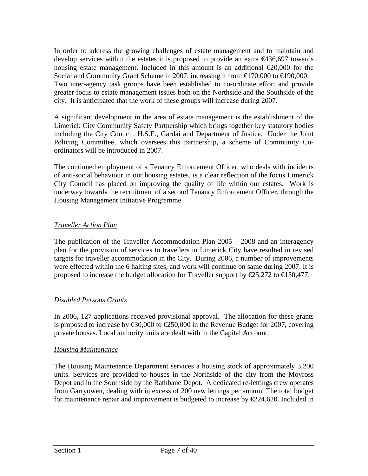In order to address the growing challenges of estate management and to maintain and develop services within the estates it is proposed to provide an extra  $\epsilon$ 436,697 towards housing estate management. Included in this amount is an additional  $\epsilon$ 20,000 for the Social and Community Grant Scheme in 2007, increasing it from €170,000 to €190,000. Two inter-agency task groups have been established to co-ordinate effort and provide greater focus to estate management issues both on the Northside and the Southside of the city. It is anticipated that the work of these groups will increase during 2007.

A significant development in the area of estate management is the establishment of the Limerick City Community Safety Partnership which brings together key statutory bodies including the City Council, H.S.E., Gardai and Department of Justice. Under the Joint Policing Committee, which oversees this partnership, a scheme of Community Coordinators will be introduced in 2007.

The continued employment of a Tenancy Enforcement Officer, who deals with incidents of anti-social behaviour in our housing estates, is a clear reflection of the focus Limerick City Council has placed on improving the quality of life within our estates. Work is underway towards the recruitment of a second Tenancy Enforcement Officer, through the Housing Management Initiative Programme.

## *Traveller Action Plan*

The publication of the Traveller Accommodation Plan 2005 – 2008 and an interagency plan for the provision of services to travellers in Limerick City have resulted in revised targets for traveller accommodation in the City. During 2006, a number of improvements were effected within the 6 halting sites, and work will continue on same during 2007. It is proposed to increase the budget allocation for Traveller support by  $\epsilon$ 25,272 to  $\epsilon$ 150,477.

## *Disabled Persons Grants*

In 2006, 127 applications received provisional approval. The allocation for these grants is proposed to increase by  $\epsilon$ 30,000 to  $\epsilon$ 250,000 in the Revenue Budget for 2007, covering private houses. Local authority units are dealt with in the Capital Account.

## *Housing Maintenance*

The Housing Maintenance Department services a housing stock of approximately 3,200 units. Services are provided to houses in the Northside of the city from the Moyross Depot and in the Southside by the Rathbane Depot. A dedicated re-lettings crew operates from Garryowen, dealing with in excess of 200 new lettings per annum. The total budget for maintenance repair and improvement is budgeted to increase by  $\epsilon$ 224,620. Included in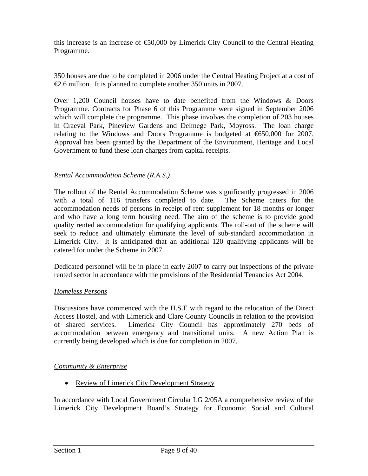this increase is an increase of  $\epsilon$ 50,000 by Limerick City Council to the Central Heating Programme.

350 houses are due to be completed in 2006 under the Central Heating Project at a cost of €2.6 million. It is planned to complete another 350 units in 2007.

Over 1,200 Council houses have to date benefited from the Windows & Doors Programme. Contracts for Phase 6 of this Programme were signed in September 2006 which will complete the programme. This phase involves the completion of 203 houses in Craeval Park, Pineview Gardens and Delmege Park, Moyross. The loan charge relating to the Windows and Doors Programme is budgeted at €650,000 for 2007. Approval has been granted by the Department of the Environment, Heritage and Local Government to fund these loan charges from capital receipts.

## *Rental Accommodation Scheme (R.A.S.)*

The rollout of the Rental Accommodation Scheme was significantly progressed in 2006 with a total of 116 transfers completed to date. The Scheme caters for the accommodation needs of persons in receipt of rent supplement for 18 months or longer and who have a long term housing need. The aim of the scheme is to provide good quality rented accommodation for qualifying applicants. The roll-out of the scheme will seek to reduce and ultimately eliminate the level of sub-standard accommodation in Limerick City. It is anticipated that an additional 120 qualifying applicants will be catered for under the Scheme in 2007.

Dedicated personnel will be in place in early 2007 to carry out inspections of the private rented sector in accordance with the provisions of the Residential Tenancies Act 2004.

## *Homeless Persons*

Discussions have commenced with the H.S.E with regard to the relocation of the Direct Access Hostel, and with Limerick and Clare County Councils in relation to the provision of shared services. Limerick City Council has approximately 270 beds of accommodation between emergency and transitional units. A new Action Plan is currently being developed which is due for completion in 2007.

## *Community & Enterprise*

• Review of Limerick City Development Strategy

In accordance with Local Government Circular LG 2/05A a comprehensive review of the Limerick City Development Board's Strategy for Economic Social and Cultural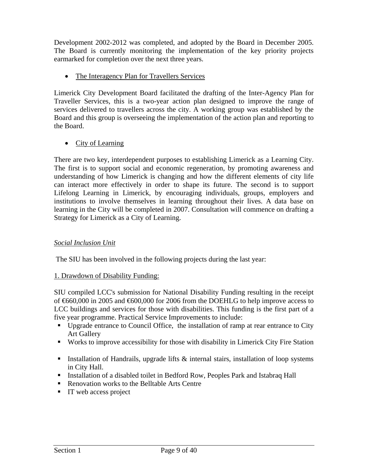Development 2002-2012 was completed, and adopted by the Board in December 2005. The Board is currently monitoring the implementation of the key priority projects earmarked for completion over the next three years.

• The Interagency Plan for Travellers Services

Limerick City Development Board facilitated the drafting of the Inter-Agency Plan for Traveller Services, this is a two-year action plan designed to improve the range of services delivered to travellers across the city. A working group was established by the Board and this group is overseeing the implementation of the action plan and reporting to the Board.

• City of Learning

There are two key, interdependent purposes to establishing Limerick as a Learning City. The first is to support social and economic regeneration, by promoting awareness and understanding of how Limerick is changing and how the different elements of city life can interact more effectively in order to shape its future. The second is to support Lifelong Learning in Limerick, by encouraging individuals, groups, employers and institutions to involve themselves in learning throughout their lives. A data base on learning in the City will be completed in 2007. Consultation will commence on drafting a Strategy for Limerick as a City of Learning.

## *Social Inclusion Unit*

The SIU has been involved in the following projects during the last year:

## 1. Drawdown of Disability Funding:

SIU compiled LCC's submission for National Disability Funding resulting in the receipt of €660,000 in 2005 and €600,000 for 2006 from the DOEHLG to help improve access to LCC buildings and services for those with disabilities. This funding is the first part of a five year programme. Practical Service Improvements to include:

- Upgrade entrance to Council Office, the installation of ramp at rear entrance to City Art Gallery
- Works to improve accessibility for those with disability in Limerick City Fire Station
- Installation of Handrails, upgrade lifts  $\&$  internal stairs, installation of loop systems in City Hall.
- Installation of a disabled toilet in Bedford Row, Peoples Park and Istabraq Hall
- Renovation works to the Belltable Arts Centre
- **IT** web access project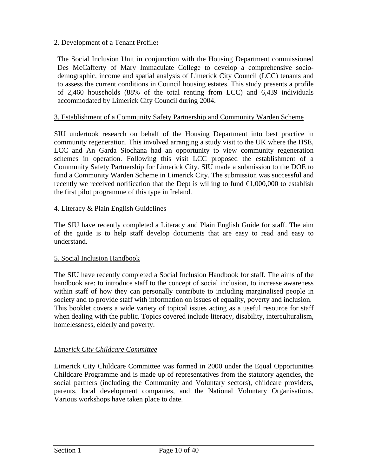## 2. Development of a Tenant Profile**:**

The Social Inclusion Unit in conjunction with the Housing Department commissioned Des McCafferty of Mary Immaculate College to develop a comprehensive sociodemographic, income and spatial analysis of Limerick City Council (LCC) tenants and to assess the current conditions in Council housing estates. This study presents a profile of 2,460 households (88% of the total renting from LCC) and 6,439 individuals accommodated by Limerick City Council during 2004.

## 3. Establishment of a Community Safety Partnership and Community Warden Scheme

SIU undertook research on behalf of the Housing Department into best practice in community regeneration. This involved arranging a study visit to the UK where the HSE, LCC and An Garda Siochana had an opportunity to view community regeneration schemes in operation. Following this visit LCC proposed the establishment of a Community Safety Partnership for Limerick City. SIU made a submission to the DOE to fund a Community Warden Scheme in Limerick City. The submission was successful and recently we received notification that the Dept is willing to fund  $\in$ 1,000,000 to establish the first pilot programme of this type in Ireland.

#### 4. Literacy & Plain English Guidelines

The SIU have recently completed a Literacy and Plain English Guide for staff. The aim of the guide is to help staff develop documents that are easy to read and easy to understand.

#### 5. Social Inclusion Handbook

The SIU have recently completed a Social Inclusion Handbook for staff. The aims of the handbook are: to introduce staff to the concept of social inclusion, to increase awareness within staff of how they can personally contribute to including marginalised people in society and to provide staff with information on issues of equality, poverty and inclusion. This booklet covers a wide variety of topical issues acting as a useful resource for staff when dealing with the public. Topics covered include literacy, disability, interculturalism, homelessness, elderly and poverty.

## *Limerick City Childcare Committee*

Limerick City Childcare Committee was formed in 2000 under the Equal Opportunities Childcare Programme and is made up of representatives from the statutory agencies, the social partners (including the Community and Voluntary sectors), childcare providers, parents, local development companies, and the National Voluntary Organisations. Various workshops have taken place to date.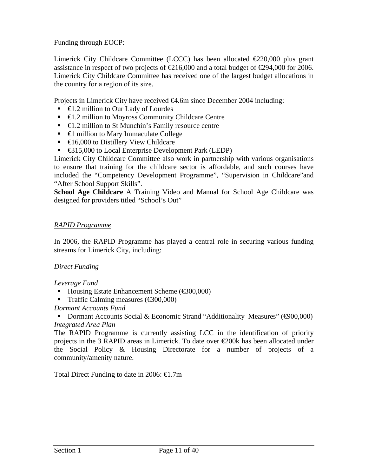Funding through EOCP:

Limerick City Childcare Committee (LCCC) has been allocated €220,000 plus grant assistance in respect of two projects of  $\in 216,000$  and a total budget of  $\in 294,000$  for 2006. Limerick City Childcare Committee has received one of the largest budget allocations in the country for a region of its size.

Projects in Limerick City have received €4.6m since December 2004 including:

- $\blacksquare$   $\blacksquare$   $\blacksquare$   $\blacksquare$   $\blacksquare$   $\blacksquare$   $\blacksquare$   $\blacksquare$   $\blacksquare$   $\blacksquare$   $\blacksquare$   $\blacksquare$   $\blacksquare$   $\blacksquare$   $\blacksquare$   $\blacksquare$   $\blacksquare$   $\blacksquare$   $\blacksquare$   $\blacksquare$   $\blacksquare$   $\blacksquare$   $\blacksquare$   $\blacksquare$   $\blacksquare$   $\blacksquare$   $\blacksquare$   $\blacksquare$   $\blacksquare$   $\blacksquare$   $\blacksquare$   $\blacks$
- **€1.2 million to Moyross Community Childcare Centre**
- **€1.2 million to St Munchin's Family resource centre**
- $\in$  **million to Mary Immaculate College**
- $\bullet$   $\in$  6,000 to Distillery View Childcare
- €315,000 to Local Enterprise Development Park (LEDP)

Limerick City Childcare Committee also work in partnership with various organisations to ensure that training for the childcare sector is affordable, and such courses have included the "Competency Development Programme", "Supervision in Childcare"and "After School Support Skills".

**School Age Childcare** A Training Video and Manual for School Age Childcare was designed for providers titled "School's Out"

#### *RAPID Programme*

In 2006, the RAPID Programme has played a central role in securing various funding streams for Limerick City, including:

## *Direct Funding*

*Leverage Fund* 

- Housing Estate Enhancement Scheme  $(\text{\textsterling}300,000)$
- Traffic Calming measures  $(\text{\textcircled{\char'4300}}0000)$

## *Dormant Accounts Fund*

■ Dormant Accounts Social & Economic Strand "Additionality Measures" ( $\Theta$ 00,000) *Integrated Area Plan* 

The RAPID Programme is currently assisting LCC in the identification of priority projects in the 3 RAPID areas in Limerick. To date over  $\epsilon$  200k has been allocated under the Social Policy & Housing Directorate for a number of projects of a community/amenity nature.

Total Direct Funding to date in 2006:  $\in$ 1.7m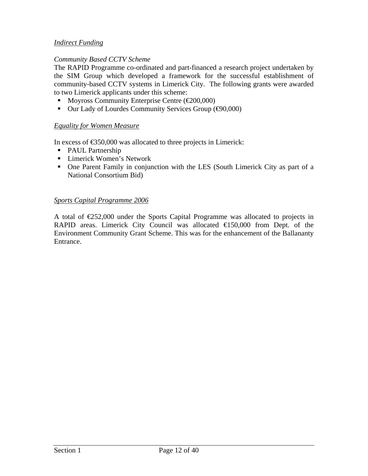## *Indirect Funding*

#### *Community Based CCTV Scheme*

The RAPID Programme co-ordinated and part-financed a research project undertaken by the SIM Group which developed a framework for the successful establishment of community-based CCTV systems in Limerick City. The following grants were awarded to two Limerick applicants under this scheme:

- Moyross Community Enterprise Centre  $(\text{\textcircled{\textcirc}}00,000)$
- Our Lady of Lourdes Community Services Group  $(oplus 0,000)$

#### *Equality for Women Measure*

In excess of  $\epsilon$ 350,000 was allocated to three projects in Limerick:

- PAUL Partnership
- **Limerick Women's Network**
- One Parent Family in conjunction with the LES (South Limerick City as part of a National Consortium Bid)

#### *Sports Capital Programme 2006*

A total of  $E$ 52,000 under the Sports Capital Programme was allocated to projects in RAPID areas. Limerick City Council was allocated €150,000 from Dept. of the Environment Community Grant Scheme. This was for the enhancement of the Ballananty Entrance.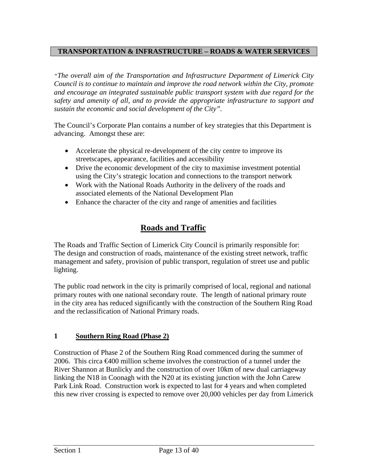## **TRANSPORTATION & INFRASTRUCTURE – ROADS & WATER SERVICES**

*"The overall aim of the Transportation and Infrastructure Department of Limerick City Council is to continue to maintain and improve the road network within the City, promote and encourage an integrated sustainable public transport system with due regard for the safety and amenity of all, and to provide the appropriate infrastructure to support and sustain the economic and social development of the City".* 

The Council's Corporate Plan contains a number of key strategies that this Department is advancing. Amongst these are:

- Accelerate the physical re-development of the city centre to improve its streetscapes, appearance, facilities and accessibility
- Drive the economic development of the city to maximise investment potential using the City's strategic location and connections to the transport network
- Work with the National Roads Authority in the delivery of the roads and associated elements of the National Development Plan
- Enhance the character of the city and range of amenities and facilities

## **Roads and Traffic**

The Roads and Traffic Section of Limerick City Council is primarily responsible for: The design and construction of roads, maintenance of the existing street network, traffic management and safety, provision of public transport, regulation of street use and public lighting.

The public road network in the city is primarily comprised of local, regional and national primary routes with one national secondary route. The length of national primary route in the city area has reduced significantly with the construction of the Southern Ring Road and the reclassification of National Primary roads.

## **1 Southern Ring Road (Phase 2)**

Construction of Phase 2 of the Southern Ring Road commenced during the summer of 2006. This circa €400 million scheme involves the construction of a tunnel under the River Shannon at Bunlicky and the construction of over 10km of new dual carriageway linking the N18 in Coonagh with the N20 at its existing junction with the John Carew Park Link Road. Construction work is expected to last for 4 years and when completed this new river crossing is expected to remove over 20,000 vehicles per day from Limerick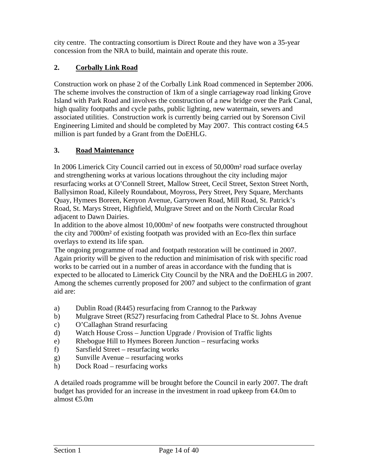city centre. The contracting consortium is Direct Route and they have won a 35-year concession from the NRA to build, maintain and operate this route.

## **2. Corbally Link Road**

Construction work on phase 2 of the Corbally Link Road commenced in September 2006. The scheme involves the construction of 1km of a single carriageway road linking Grove Island with Park Road and involves the construction of a new bridge over the Park Canal, high quality footpaths and cycle paths, public lighting, new watermain, sewers and associated utilities. Construction work is currently being carried out by Sorenson Civil Engineering Limited and should be completed by May 2007. This contract costing  $64.5$ million is part funded by a Grant from the DoEHLG.

## **3. Road Maintenance**

In 2006 Limerick City Council carried out in excess of 50,000m² road surface overlay and strengthening works at various locations throughout the city including major resurfacing works at O'Connell Street, Mallow Street, Cecil Street, Sexton Street North, Ballysimon Road, Kileely Roundabout, Moyross, Pery Street, Pery Square, Merchants Quay, Hymees Boreen, Kenyon Avenue, Garryowen Road, Mill Road, St. Patrick's Road, St. Marys Street, Highfield, Mulgrave Street and on the North Circular Road adjacent to Dawn Dairies.

In addition to the above almost 10,000m² of new footpaths were constructed throughout the city and 7000m² of existing footpath was provided with an Eco-flex thin surface overlays to extend its life span.

The ongoing programme of road and footpath restoration will be continued in 2007. Again priority will be given to the reduction and minimisation of risk with specific road works to be carried out in a number of areas in accordance with the funding that is expected to be allocated to Limerick City Council by the NRA and the DoEHLG in 2007. Among the schemes currently proposed for 2007 and subject to the confirmation of grant aid are:

- a) Dublin Road (R445) resurfacing from Crannog to the Parkway
- b) Mulgrave Street (R527) resurfacing from Cathedral Place to St. Johns Avenue
- c) O'Callaghan Strand resurfacing
- d) Watch House Cross Junction Upgrade / Provision of Traffic lights
- e) Rhebogue Hill to Hymees Boreen Junction resurfacing works
- f) Sarsfield Street resurfacing works
- g) Sunville Avenue resurfacing works
- h) Dock Road resurfacing works

A detailed roads programme will be brought before the Council in early 2007. The draft budget has provided for an increase in the investment in road upkeep from  $\Theta$ .0m to almost €5.0m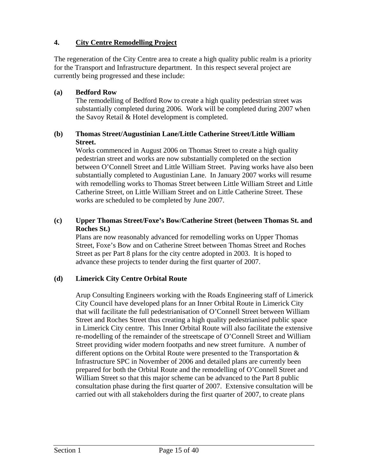## **4. City Centre Remodelling Project**

The regeneration of the City Centre area to create a high quality public realm is a priority for the Transport and Infrastructure department. In this respect several project are currently being progressed and these include:

## **(a) Bedford Row**

The remodelling of Bedford Row to create a high quality pedestrian street was substantially completed during 2006. Work will be completed during 2007 when the Savoy Retail & Hotel development is completed.

## **(b) Thomas Street/Augustinian Lane/Little Catherine Street/Little William Street.**

Works commenced in August 2006 on Thomas Street to create a high quality pedestrian street and works are now substantially completed on the section between O'Connell Street and Little William Street. Paving works have also been substantially completed to Augustinian Lane. In January 2007 works will resume with remodelling works to Thomas Street between Little William Street and Little Catherine Street, on Little William Street and on Little Catherine Street. These works are scheduled to be completed by June 2007.

## **(c) Upper Thomas Street/Foxe's Bow/Catherine Street (between Thomas St. and Roches St.)**

Plans are now reasonably advanced for remodelling works on Upper Thomas Street, Foxe's Bow and on Catherine Street between Thomas Street and Roches Street as per Part 8 plans for the city centre adopted in 2003. It is hoped to advance these projects to tender during the first quarter of 2007.

## **(d) Limerick City Centre Orbital Route**

Arup Consulting Engineers working with the Roads Engineering staff of Limerick City Council have developed plans for an Inner Orbital Route in Limerick City that will facilitate the full pedestrianisation of O'Connell Street between William Street and Roches Street thus creating a high quality pedestrianised public space in Limerick City centre. This Inner Orbital Route will also facilitate the extensive re-modelling of the remainder of the streetscape of O'Connell Street and William Street providing wider modern footpaths and new street furniture. A number of different options on the Orbital Route were presented to the Transportation & Infrastructure SPC in November of 2006 and detailed plans are currently been prepared for both the Orbital Route and the remodelling of O'Connell Street and William Street so that this major scheme can be advanced to the Part 8 public consultation phase during the first quarter of 2007. Extensive consultation will be carried out with all stakeholders during the first quarter of 2007, to create plans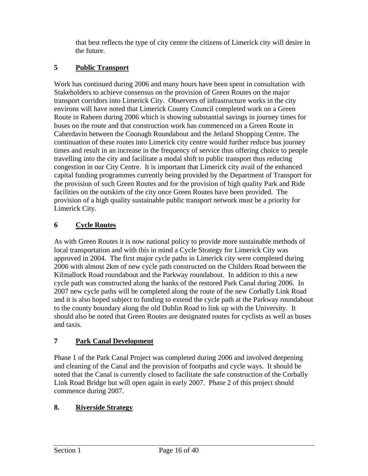that best reflects the type of city centre the citizens of Limerick city will desire in the future.

## **5 Public Transport**

Work has continued during 2006 and many hours have been spent in consultation with Stakeholders to achieve consensus on the provision of Green Routes on the major transport corridors into Limerick City. Observers of infrastructure works in the city environs will have noted that Limerick County Council completed work on a Green Route in Raheen during 2006 which is showing substantial savings in journey times for buses on the route and that construction work has commenced on a Green Route in Caherdavin between the Coonagh Roundabout and the Jetland Shopping Centre. The continuation of these routes into Limerick city centre would further reduce bus journey times and result in an increase in the frequency of service thus offering choice to people travelling into the city and facilitate a modal shift to public transport thus reducing congestion in our City Centre. It is important that Limerick city avail of the enhanced capital funding programmes currently being provided by the Department of Transport for the provision of such Green Routes and for the provision of high quality Park and Ride facilities on the outskirts of the city once Green Routes have been provided. The provision of a high quality sustainable public transport network must be a priority for Limerick City.

## **6 Cycle Routes**

As with Green Routes it is now national policy to provide more sustainable methods of local transportation and with this in mind a Cycle Strategy for Limerick City was approved in 2004. The first major cycle paths in Limerick city were completed during 2006 with almost 2km of new cycle path constructed on the Childers Road between the Kilmallock Road roundabout and the Parkway roundabout. In addition to this a new cycle path was constructed along the banks of the restored Park Canal during 2006. In 2007 new cycle paths will be completed along the route of the new Corbally Link Road and it is also hoped subject to funding to extend the cycle path at the Parkway roundabout to the county boundary along the old Dublin Road to link up with the University. It should also be noted that Green Routes are designated routes for cyclists as well as buses and taxis.

## **7 Park Canal Development**

Phase 1 of the Park Canal Project was completed during 2006 and involved deepening and cleaning of the Canal and the provision of footpaths and cycle ways. It should be noted that the Canal is currently closed to facilitate the safe construction of the Corbally Link Road Bridge but will open again in early 2007. Phase 2 of this project should commence during 2007.

## **8. Riverside Strategy**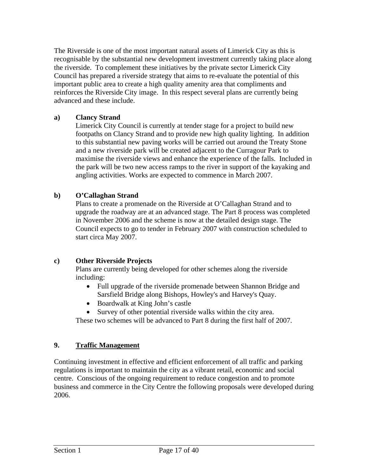The Riverside is one of the most important natural assets of Limerick City as this is recognisable by the substantial new development investment currently taking place along the riverside. To complement these initiatives by the private sector Limerick City Council has prepared a riverside strategy that aims to re-evaluate the potential of this important public area to create a high quality amenity area that compliments and reinforces the Riverside City image. In this respect several plans are currently being advanced and these include.

## **a) Clancy Strand**

Limerick City Council is currently at tender stage for a project to build new footpaths on Clancy Strand and to provide new high quality lighting. In addition to this substantial new paving works will be carried out around the Treaty Stone and a new riverside park will be created adjacent to the Curragour Park to maximise the riverside views and enhance the experience of the falls. Included in the park will be two new access ramps to the river in support of the kayaking and angling activities. Works are expected to commence in March 2007.

## **b) O'Callaghan Strand**

Plans to create a promenade on the Riverside at O'Callaghan Strand and to upgrade the roadway are at an advanced stage. The Part 8 process was completed in November 2006 and the scheme is now at the detailed design stage. The Council expects to go to tender in February 2007 with construction scheduled to start circa May 2007.

## **c) Other Riverside Projects**

Plans are currently being developed for other schemes along the riverside including:

- Full upgrade of the riverside promenade between Shannon Bridge and Sarsfield Bridge along Bishops, Howley's and Harvey's Quay.
- Boardwalk at King John's castle
- Survey of other potential riverside walks within the city area.

These two schemes will be advanced to Part 8 during the first half of 2007.

## **9. Traffic Management**

Continuing investment in effective and efficient enforcement of all traffic and parking regulations is important to maintain the city as a vibrant retail, economic and social centre. Conscious of the ongoing requirement to reduce congestion and to promote business and commerce in the City Centre the following proposals were developed during 2006.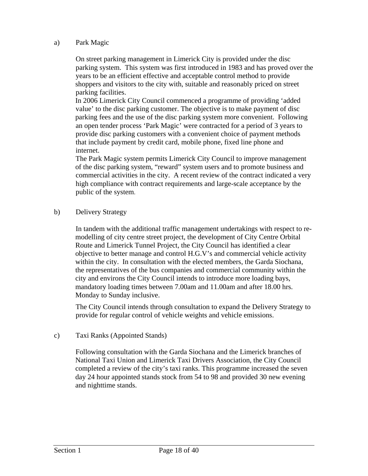#### a) Park Magic

On street parking management in Limerick City is provided under the disc parking system. This system was first introduced in 1983 and has proved over the years to be an efficient effective and acceptable control method to provide shoppers and visitors to the city with, suitable and reasonably priced on street parking facilities.

In 2006 Limerick City Council commenced a programme of providing 'added value' to the disc parking customer. The objective is to make payment of disc parking fees and the use of the disc parking system more convenient. Following an open tender process 'Park Magic' were contracted for a period of 3 years to provide disc parking customers with a convenient choice of payment methods that include payment by credit card, mobile phone, fixed line phone and internet.

The Park Magic system permits Limerick City Council to improve management of the disc parking system, "reward" system users and to promote business and commercial activities in the city. A recent review of the contract indicated a very high compliance with contract requirements and large-scale acceptance by the public of the system.

b) Delivery Strategy

In tandem with the additional traffic management undertakings with respect to remodelling of city centre street project, the development of City Centre Orbital Route and Limerick Tunnel Project, the City Council has identified a clear objective to better manage and control H.G.V's and commercial vehicle activity within the city. In consultation with the elected members, the Garda Siochana, the representatives of the bus companies and commercial community within the city and environs the City Council intends to introduce more loading bays, mandatory loading times between 7.00am and 11.00am and after 18.00 hrs. Monday to Sunday inclusive.

The City Council intends through consultation to expand the Delivery Strategy to provide for regular control of vehicle weights and vehicle emissions.

## c) Taxi Ranks (Appointed Stands)

Following consultation with the Garda Siochana and the Limerick branches of National Taxi Union and Limerick Taxi Drivers Association, the City Council completed a review of the city's taxi ranks. This programme increased the seven day 24 hour appointed stands stock from 54 to 98 and provided 30 new evening and nighttime stands.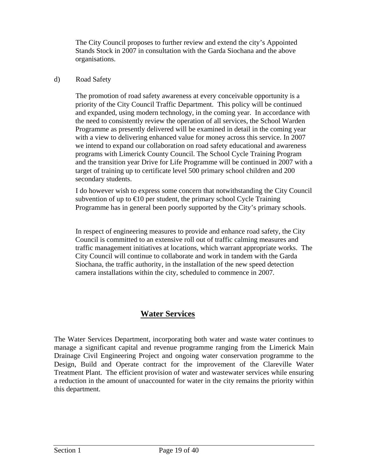The City Council proposes to further review and extend the city's Appointed Stands Stock in 2007 in consultation with the Garda Siochana and the above organisations.

### d) Road Safety

The promotion of road safety awareness at every conceivable opportunity is a priority of the City Council Traffic Department. This policy will be continued and expanded, using modern technology, in the coming year. In accordance with the need to consistently review the operation of all services, the School Warden Programme as presently delivered will be examined in detail in the coming year with a view to delivering enhanced value for money across this service. In 2007 we intend to expand our collaboration on road safety educational and awareness programs with Limerick County Council. The School Cycle Training Program and the transition year Drive for Life Programme will be continued in 2007 with a target of training up to certificate level 500 primary school children and 200 secondary students.

I do however wish to express some concern that notwithstanding the City Council subvention of up to  $\bigoplus$  per student, the primary school Cycle Training Programme has in general been poorly supported by the City's primary schools.

In respect of engineering measures to provide and enhance road safety, the City Council is committed to an extensive roll out of traffic calming measures and traffic management initiatives at locations, which warrant appropriate works. The City Council will continue to collaborate and work in tandem with the Garda Siochana, the traffic authority, in the installation of the new speed detection camera installations within the city, scheduled to commence in 2007.

## **Water Services**

The Water Services Department, incorporating both water and waste water continues to manage a significant capital and revenue programme ranging from the Limerick Main Drainage Civil Engineering Project and ongoing water conservation programme to the Design, Build and Operate contract for the improvement of the Clareville Water Treatment Plant. The efficient provision of water and wastewater services while ensuring a reduction in the amount of unaccounted for water in the city remains the priority within this department.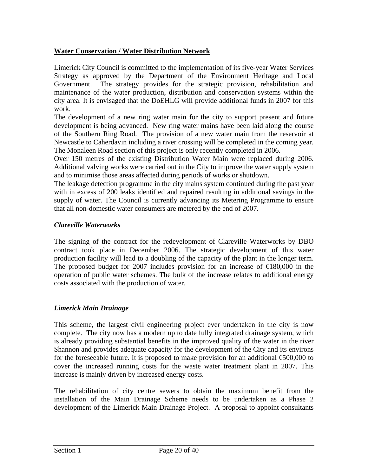## **Water Conservation / Water Distribution Network**

Limerick City Council is committed to the implementation of its five-year Water Services Strategy as approved by the Department of the Environment Heritage and Local Government. The strategy provides for the strategic provision, rehabilitation and maintenance of the water production, distribution and conservation systems within the city area. It is envisaged that the DoEHLG will provide additional funds in 2007 for this work.

The development of a new ring water main for the city to support present and future development is being advanced. New ring water mains have been laid along the course of the Southern Ring Road. The provision of a new water main from the reservoir at Newcastle to Caherdavin including a river crossing will be completed in the coming year. The Monaleen Road section of this project is only recently completed in 2006.

Over 150 metres of the existing Distribution Water Main were replaced during 2006. Additional valving works were carried out in the City to improve the water supply system and to minimise those areas affected during periods of works or shutdown.

The leakage detection programme in the city mains system continued during the past year with in excess of 200 leaks identified and repaired resulting in additional savings in the supply of water. The Council is currently advancing its Metering Programme to ensure that all non-domestic water consumers are metered by the end of 2007.

## *Clareville Waterworks*

The signing of the contract for the redevelopment of Clareville Waterworks by DBO contract took place in December 2006. The strategic development of this water production facility will lead to a doubling of the capacity of the plant in the longer term. The proposed budget for 2007 includes provision for an increase of  $E$ 180,000 in the operation of public water schemes. The bulk of the increase relates to additional energy costs associated with the production of water.

## *Limerick Main Drainage*

This scheme, the largest civil engineering project ever undertaken in the city is now complete. The city now has a modern up to date fully integrated drainage system, which is already providing substantial benefits in the improved quality of the water in the river Shannon and provides adequate capacity for the development of the City and its environs for the foreseeable future. It is proposed to make provision for an additional  $\epsilon$ 600,000 to cover the increased running costs for the waste water treatment plant in 2007. This increase is mainly driven by increased energy costs.

The rehabilitation of city centre sewers to obtain the maximum benefit from the installation of the Main Drainage Scheme needs to be undertaken as a Phase 2 development of the Limerick Main Drainage Project. A proposal to appoint consultants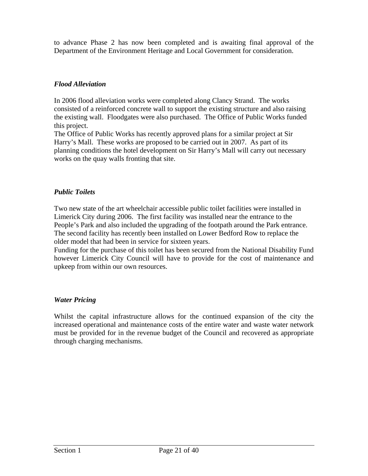to advance Phase 2 has now been completed and is awaiting final approval of the Department of the Environment Heritage and Local Government for consideration.

## *Flood Alleviation*

In 2006 flood alleviation works were completed along Clancy Strand. The works consisted of a reinforced concrete wall to support the existing structure and also raising the existing wall. Floodgates were also purchased. The Office of Public Works funded this project.

The Office of Public Works has recently approved plans for a similar project at Sir Harry's Mall. These works are proposed to be carried out in 2007. As part of its planning conditions the hotel development on Sir Harry's Mall will carry out necessary works on the quay walls fronting that site.

## *Public Toilets*

Two new state of the art wheelchair accessible public toilet facilities were installed in Limerick City during 2006. The first facility was installed near the entrance to the People's Park and also included the upgrading of the footpath around the Park entrance. The second facility has recently been installed on Lower Bedford Row to replace the older model that had been in service for sixteen years.

Funding for the purchase of this toilet has been secured from the National Disability Fund however Limerick City Council will have to provide for the cost of maintenance and upkeep from within our own resources.

## *Water Pricing*

Whilst the capital infrastructure allows for the continued expansion of the city the increased operational and maintenance costs of the entire water and waste water network must be provided for in the revenue budget of the Council and recovered as appropriate through charging mechanisms.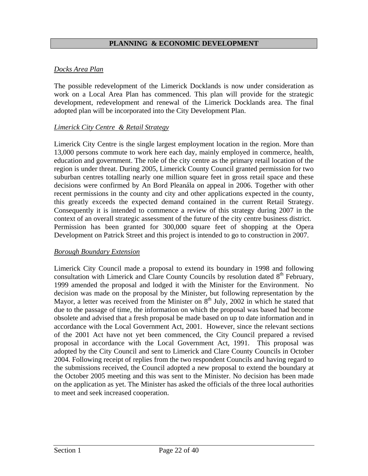## **PLANNING & ECONOMIC DEVELOPMENT**

## *Docks Area Plan*

The possible redevelopment of the Limerick Docklands is now under consideration as work on a Local Area Plan has commenced. This plan will provide for the strategic development, redevelopment and renewal of the Limerick Docklands area. The final adopted plan will be incorporated into the City Development Plan.

#### *Limerick City Centre & Retail Strategy*

Limerick City Centre is the single largest employment location in the region. More than 13,000 persons commute to work here each day, mainly employed in commerce, health, education and government. The role of the city centre as the primary retail location of the region is under threat. During 2005, Limerick County Council granted permission for two suburban centres totalling nearly one million square feet in gross retail space and these decisions were confirmed by An Bord Pleanála on appeal in 2006. Together with other recent permissions in the county and city and other applications expected in the county, this greatly exceeds the expected demand contained in the current Retail Strategy. Consequently it is intended to commence a review of this strategy during 2007 in the context of an overall strategic assessment of the future of the city centre business district. Permission has been granted for 300,000 square feet of shopping at the Opera Development on Patrick Street and this project is intended to go to construction in 2007.

#### *Borough Boundary Extension*

Limerick City Council made a proposal to extend its boundary in 1998 and following consultation with Limerick and Clare County Councils by resolution dated 8<sup>th</sup> February, 1999 amended the proposal and lodged it with the Minister for the Environment. No decision was made on the proposal by the Minister, but following representation by the Mayor, a letter was received from the Minister on  $8<sup>th</sup>$  July, 2002 in which he stated that due to the passage of time, the information on which the proposal was based had become obsolete and advised that a fresh proposal be made based on up to date information and in accordance with the Local Government Act, 2001. However, since the relevant sections of the 2001 Act have not yet been commenced, the City Council prepared a revised proposal in accordance with the Local Government Act, 1991. This proposal was adopted by the City Council and sent to Limerick and Clare County Councils in October 2004. Following receipt of replies from the two respondent Councils and having regard to the submissions received, the Council adopted a new proposal to extend the boundary at the October 2005 meeting and this was sent to the Minister. No decision has been made on the application as yet. The Minister has asked the officials of the three local authorities to meet and seek increased cooperation.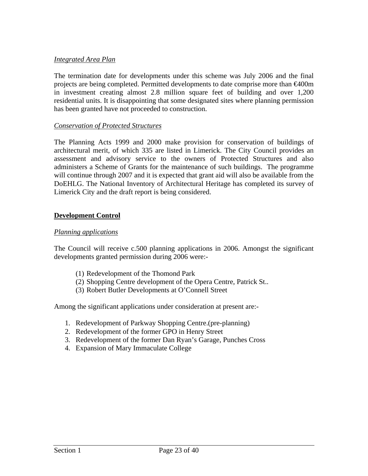### *Integrated Area Plan*

The termination date for developments under this scheme was July 2006 and the final projects are being completed. Permitted developments to date comprise more than  $\bigoplus$ 00m in investment creating almost 2.8 million square feet of building and over 1,200 residential units. It is disappointing that some designated sites where planning permission has been granted have not proceeded to construction.

#### *Conservation of Protected Structures*

The Planning Acts 1999 and 2000 make provision for conservation of buildings of architectural merit, of which 335 are listed in Limerick. The City Council provides an assessment and advisory service to the owners of Protected Structures and also administers a Scheme of Grants for the maintenance of such buildings. The programme will continue through 2007 and it is expected that grant aid will also be available from the DoEHLG. The National Inventory of Architectural Heritage has completed its survey of Limerick City and the draft report is being considered.

## **Development Control**

#### *Planning applications*

The Council will receive c.500 planning applications in 2006. Amongst the significant developments granted permission during 2006 were:-

- (1) Redevelopment of the Thomond Park
- (2) Shopping Centre development of the Opera Centre, Patrick St..
- (3) Robert Butler Developments at O'Connell Street

Among the significant applications under consideration at present are:-

- 1. Redevelopment of Parkway Shopping Centre.(pre-planning)
- 2. Redevelopment of the former GPO in Henry Street
- 3. Redevelopment of the former Dan Ryan's Garage, Punches Cross
- 4. Expansion of Mary Immaculate College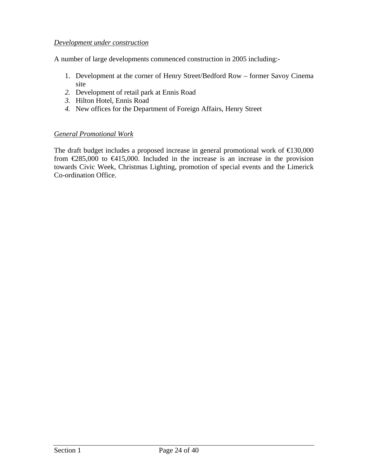## *Development under construction*

A number of large developments commenced construction in 2005 including:-

- 1. Development at the corner of Henry Street/Bedford Row former Savoy Cinema site
- *2.* Development of retail park at Ennis Road
- *3.* Hilton Hotel, Ennis Road
- *4.* New offices for the Department of Foreign Affairs, Henry Street

## *General Promotional Work*

The draft budget includes a proposed increase in general promotional work of €130,000 from  $\in \{285,000\}$  to  $\in \{415,000\}$ . Included in the increase is an increase in the provision towards Civic Week, Christmas Lighting, promotion of special events and the Limerick Co-ordination Office.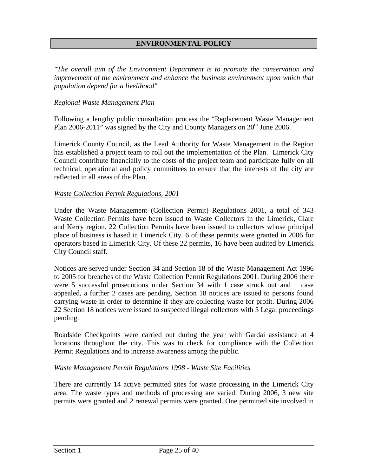## **ENVIRONMENTAL POLICY**

*"The overall aim of the Environment Department is to promote the conservation and improvement of the environment and enhance the business environment upon which that population depend for a livelihood"* 

#### *Regional Waste Management Plan*

Following a lengthy public consultation process the "Replacement Waste Management Plan 2006-2011" was signed by the City and County Managers on  $20<sup>th</sup>$  June 2006.

Limerick County Council, as the Lead Authority for Waste Management in the Region has established a project team to roll out the implementation of the Plan. Limerick City Council contribute financially to the costs of the project team and participate fully on all technical, operational and policy committees to ensure that the interests of the city are reflected in all areas of the Plan.

#### *Waste Collection Permit Regulations, 2001*

Under the Waste Management (Collection Permit) Regulations 2001, a total of 343 Waste Collection Permits have been issued to Waste Collectors in the Limerick, Clare and Kerry region. 22 Collection Permits have been issued to collectors whose principal place of business is based in Limerick City. 6 of these permits were granted in 2006 for operators based in Limerick City. Of these 22 permits, 16 have been audited by Limerick City Council staff.

Notices are served under Section 34 and Section 18 of the Waste Management Act 1996 to 2005 for breaches of the Waste Collection Permit Regulations 2001. During 2006 there were 5 successful prosecutions under Section 34 with 1 case struck out and 1 case appealed, a further 2 cases are pending. Section 18 notices are issued to persons found carrying waste in order to determine if they are collecting waste for profit. During 2006 22 Section 18 notices were issued to suspected illegal collectors with 5 Legal proceedings pending.

Roadside Checkpoints were carried out during the year with Gardai assistance at 4 locations throughout the city. This was to check for compliance with the Collection Permit Regulations and to increase awareness among the public.

#### *Waste Management Permit Regulations 1998 - Waste Site Facilities*

There are currently 14 active permitted sites for waste processing in the Limerick City area. The waste types and methods of processing are varied. During 2006, 3 new site permits were granted and 2 renewal permits were granted. One permitted site involved in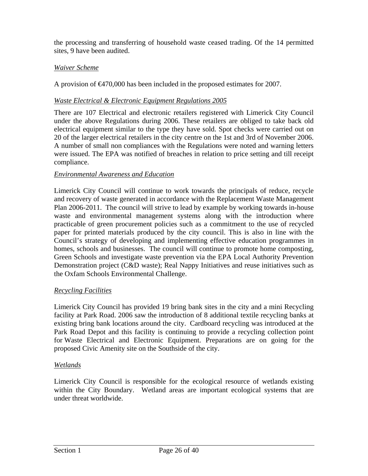the processing and transferring of household waste ceased trading. Of the 14 permitted sites, 9 have been audited.

## *Waiver Scheme*

A provision of €470,000 has been included in the proposed estimates for 2007.

## *Waste Electrical & Electronic Equipment Regulations 2005*

There are 107 Electrical and electronic retailers registered with Limerick City Council under the above Regulations during 2006. These retailers are obliged to take back old electrical equipment similar to the type they have sold. Spot checks were carried out on 20 of the larger electrical retailers in the city centre on the 1st and 3rd of November 2006. A number of small non compliances with the Regulations were noted and warning letters were issued. The EPA was notified of breaches in relation to price setting and till receipt compliance.

#### *Environmental Awareness and Education*

Limerick City Council will continue to work towards the principals of reduce, recycle and recovery of waste generated in accordance with the Replacement Waste Management Plan 2006-2011. The council will strive to lead by example by working towards in-house waste and environmental management systems along with the introduction where practicable of green procurement policies such as a commitment to the use of recycled paper for printed materials produced by the city council. This is also in line with the Council's strategy of developing and implementing effective education programmes in homes, schools and businesses. The council will continue to promote home composting, Green Schools and investigate waste prevention via the EPA Local Authority Prevention Demonstration project (C&D waste); Real Nappy Initiatives and reuse initiatives such as the Oxfam Schools Environmental Challenge.

## *Recycling Facilities*

Limerick City Council has provided 19 bring bank sites in the city and a mini Recycling facility at Park Road. 2006 saw the introduction of 8 additional textile recycling banks at existing bring bank locations around the city. Cardboard recycling was introduced at the Park Road Depot and this facility is continuing to provide a recycling collection point for Waste Electrical and Electronic Equipment. Preparations are on going for the proposed Civic Amenity site on the Southside of the city.

#### *Wetlands*

Limerick City Council is responsible for the ecological resource of wetlands existing within the City Boundary. Wetland areas are important ecological systems that are under threat worldwide.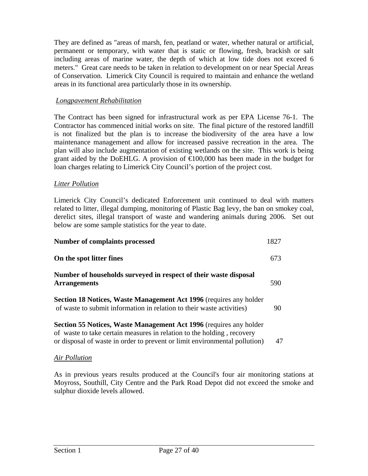They are defined as "areas of marsh, fen, peatland or water, whether natural or artificial, permanent or temporary, with water that is static or flowing, fresh, brackish or salt including areas of marine water, the depth of which at low tide does not exceed 6 meters." Great care needs to be taken in relation to development on or near Special Areas of Conservation. Limerick City Council is required to maintain and enhance the wetland areas in its functional area particularly those in its ownership.

### *Longpavement Rehabilitation*

The Contract has been signed for infrastructural work as per EPA License 76-1. The Contractor has commenced initial works on site. The final picture of the restored landfill is not finalized but the plan is to increase the biodiversity of the area have a low maintenance management and allow for increased passive recreation in the area. The plan will also include augmentation of existing wetlands on the site. This work is being grant aided by the DoEHLG. A provision of  $\epsilon 100,000$  has been made in the budget for loan charges relating to Limerick City Council's portion of the project cost.

#### *Litter Pollution*

Limerick City Council's dedicated Enforcement unit continued to deal with matters related to litter, illegal dumping, monitoring of Plastic Bag levy, the ban on smokey coal, derelict sites, illegal transport of waste and wandering animals during 2006. Set out below are some sample statistics for the year to date.

| <b>Number of complaints processed</b>                                                                                                                                                                                             | 1827 |
|-----------------------------------------------------------------------------------------------------------------------------------------------------------------------------------------------------------------------------------|------|
| On the spot litter fines                                                                                                                                                                                                          | 673  |
| Number of households surveyed in respect of their waste disposal<br><b>Arrangements</b>                                                                                                                                           | 590  |
| <b>Section 18 Notices, Waste Management Act 1996</b> (requires any holder<br>of waste to submit information in relation to their waste activities)                                                                                | 90   |
| <b>Section 55 Notices, Waste Management Act 1996</b> (requires any holder<br>of waste to take certain measures in relation to the holding, recovery<br>or disposal of waste in order to prevent or limit environmental pollution) | 47   |

## *Air Pollution*

As in previous years results produced at the Council's four air monitoring stations at Moyross, Southill, City Centre and the Park Road Depot did not exceed the smoke and sulphur dioxide levels allowed.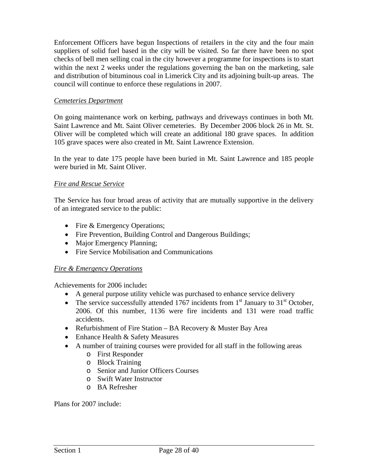Enforcement Officers have begun Inspections of retailers in the city and the four main suppliers of solid fuel based in the city will be visited. So far there have been no spot checks of bell men selling coal in the city however a programme for inspections is to start within the next 2 weeks under the regulations governing the ban on the marketing, sale and distribution of bituminous coal in Limerick City and its adjoining built-up areas. The council will continue to enforce these regulations in 2007.

### *Cemeteries Department*

On going maintenance work on kerbing, pathways and driveways continues in both Mt. Saint Lawrence and Mt. Saint Oliver cemeteries. By December 2006 block 26 in Mt. St. Oliver will be completed which will create an additional 180 grave spaces. In addition 105 grave spaces were also created in Mt. Saint Lawrence Extension.

In the year to date 175 people have been buried in Mt. Saint Lawrence and 185 people were buried in Mt. Saint Oliver.

#### *Fire and Rescue Service*

The Service has four broad areas of activity that are mutually supportive in the delivery of an integrated service to the public:

- Fire & Emergency Operations;
- Fire Prevention, Building Control and Dangerous Buildings;
- Major Emergency Planning;
- Fire Service Mobilisation and Communications

#### *Fire & Emergency Operations*

Achievements for 2006 include**:** 

- A general purpose utility vehicle was purchased to enhance service delivery
- The service successfully attended 1767 incidents from  $1<sup>st</sup>$  January to 31<sup>st</sup> October, 2006. Of this number, 1136 were fire incidents and 131 were road traffic accidents.
- Refurbishment of Fire Station BA Recovery  $&$  Muster Bay Area
- Enhance Health & Safety Measures
- A number of training courses were provided for all staff in the following areas
	- o First Responder
		- o Block Training
		- o Senior and Junior Officers Courses
		- o Swift Water Instructor
		- o BA Refresher

Plans for 2007 include: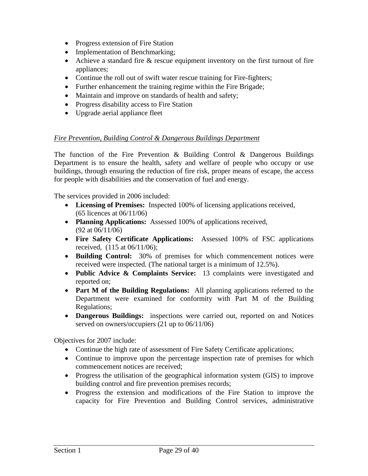- Progress extension of Fire Station
- Implementation of Benchmarking;
- Achieve a standard fire & rescue equipment inventory on the first turnout of fire appliances;
- Continue the roll out of swift water rescue training for Fire-fighters;
- Further enhancement the training regime within the Fire Brigade;
- Maintain and improve on standards of health and safety;
- Progress disability access to Fire Station
- Upgrade aerial appliance fleet

## *Fire Prevention, Building Control & Dangerous Buildings Department*

The function of the Fire Prevention  $\&$  Building Control  $\&$  Dangerous Buildings Department is to ensure the health, safety and welfare of people who occupy or use buildings, through ensuring the reduction of fire risk, proper means of escape, the access for people with disabilities and the conservation of fuel and energy.

The services provided in 2006 included:

- **Licensing of Premises:** Inspected 100% of licensing applications received, (65 licences at 06/11/06)
- **Planning Applications:** Assessed 100% of applications received, (92 at 06/11/06)
- **Fire Safety Certificate Applications:** Assessed 100% of FSC applications received, (115 at 06/11/06);
- **Building Control:** 30% of premises for which commencement notices were received were inspected. (The national target is a minimum of 12.5%).
- **Public Advice & Complaints Service:** 13 complaints were investigated and reported on;
- **Part M of the Building Regulations:** All planning applications referred to the Department were examined for conformity with Part M of the Building Regulations;
- **Dangerous Buildings:** inspections were carried out, reported on and Notices served on owners/occupiers (21 up to 06/11/06)

Objectives for 2007 include:

- Continue the high rate of assessment of Fire Safety Certificate applications;
- Continue to improve upon the percentage inspection rate of premises for which commencement notices are received;
- Progress the utilisation of the geographical information system (GIS) to improve building control and fire prevention premises records;
- Progress the extension and modifications of the Fire Station to improve the capacity for Fire Prevention and Building Control services, administrative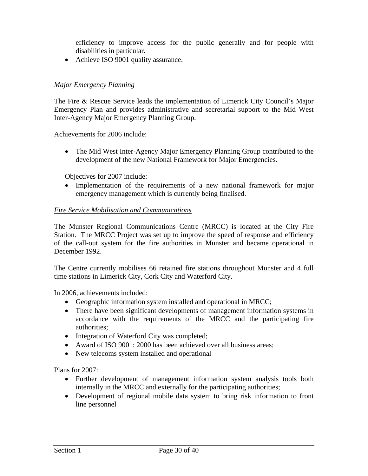efficiency to improve access for the public generally and for people with disabilities in particular.

• Achieve ISO 9001 quality assurance.

## *Major Emergency Planning*

The Fire & Rescue Service leads the implementation of Limerick City Council's Major Emergency Plan and provides administrative and secretarial support to the Mid West Inter-Agency Major Emergency Planning Group.

Achievements for 2006 include:

• The Mid West Inter-Agency Major Emergency Planning Group contributed to the development of the new National Framework for Major Emergencies.

Objectives for 2007 include:

• Implementation of the requirements of a new national framework for major emergency management which is currently being finalised.

#### *Fire Service Mobilisation and Communications*

The Munster Regional Communications Centre (MRCC) is located at the City Fire Station. The MRCC Project was set up to improve the speed of response and efficiency of the call-out system for the fire authorities in Munster and became operational in December 1992.

The Centre currently mobilises 66 retained fire stations throughout Munster and 4 full time stations in Limerick City, Cork City and Waterford City.

In 2006, achievements included:

- Geographic information system installed and operational in MRCC;
- There have been significant developments of management information systems in accordance with the requirements of the MRCC and the participating fire authorities;
- Integration of Waterford City was completed;
- Award of ISO 9001: 2000 has been achieved over all business areas:
- New telecoms system installed and operational

Plans for 2007:

- Further development of management information system analysis tools both internally in the MRCC and externally for the participating authorities;
- Development of regional mobile data system to bring risk information to front line personnel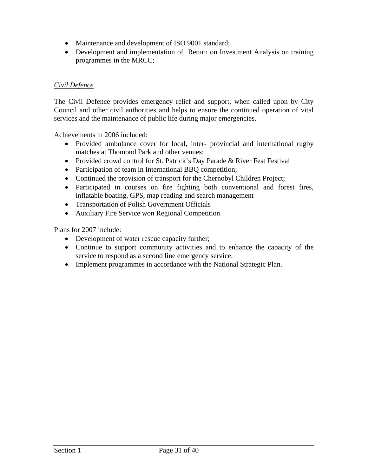- Maintenance and development of ISO 9001 standard;
- Development and implementation of Return on Investment Analysis on training programmes in the MRCC;

### *Civil Defence*

The Civil Defence provides emergency relief and support, when called upon by City Council and other civil authorities and helps to ensure the continued operation of vital services and the maintenance of public life during major emergencies.

Achievements in 2006 included:

- Provided ambulance cover for local, inter- provincial and international rugby matches at Thomond Park and other venues;
- Provided crowd control for St. Patrick's Day Parade & River Fest Festival
- Participation of team in International BBQ competition;
- Continued the provision of transport for the Chernobyl Children Project;
- Participated in courses on fire fighting both conventional and forest fires, inflatable boating, GPS, map reading and search management
- Transportation of Polish Government Officials
- Auxiliary Fire Service won Regional Competition

Plans for 2007 include:

- Development of water rescue capacity further;
- Continue to support community activities and to enhance the capacity of the service to respond as a second line emergency service.
- Implement programmes in accordance with the National Strategic Plan.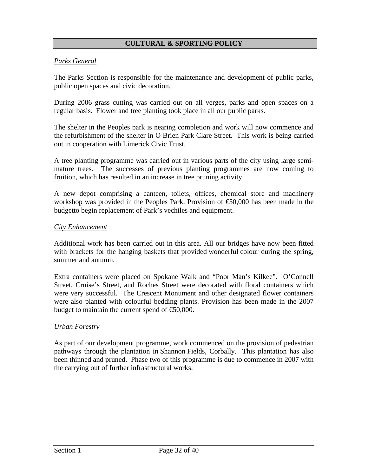## **CULTURAL & SPORTING POLICY**

#### *Parks General*

The Parks Section is responsible for the maintenance and development of public parks, public open spaces and civic decoration.

During 2006 grass cutting was carried out on all verges, parks and open spaces on a regular basis. Flower and tree planting took place in all our public parks.

The shelter in the Peoples park is nearing completion and work will now commence and the refurbishment of the shelter in O Brien Park Clare Street. This work is being carried out in cooperation with Limerick Civic Trust.

A tree planting programme was carried out in various parts of the city using large semimature trees. The successes of previous planting programmes are now coming to fruition, which has resulted in an increase in tree pruning activity.

A new depot comprising a canteen, toilets, offices, chemical store and machinery workshop was provided in the Peoples Park. Provision of  $\epsilon$ 50,000 has been made in the budgetto begin replacement of Park's vechiles and equipment.

#### *City Enhancement*

Additional work has been carried out in this area. All our bridges have now been fitted with brackets for the hanging baskets that provided wonderful colour during the spring, summer and autumn.

Extra containers were placed on Spokane Walk and "Poor Man's Kilkee". O'Connell Street, Cruise's Street, and Roches Street were decorated with floral containers which were very successful. The Crescent Monument and other designated flower containers were also planted with colourful bedding plants. Provision has been made in the 2007 budget to maintain the current spend of  $\epsilon$ 50,000.

#### *Urban Forestry*

As part of our development programme, work commenced on the provision of pedestrian pathways through the plantation in Shannon Fields, Corbally. This plantation has also been thinned and pruned. Phase two of this programme is due to commence in 2007 with the carrying out of further infrastructural works.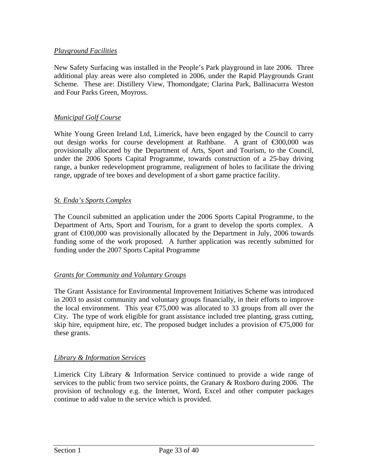## *Playground Facilities*

New Safety Surfacing was installed in the People's Park playground in late 2006. Three additional play areas were also completed in 2006, under the Rapid Playgrounds Grant Scheme. These are: Distillery View, Thomondgate; Clarina Park, Ballinacurra Weston and Four Parks Green, Moyross.

## *Municipal Golf Course*

White Young Green Ireland Ltd, Limerick, have been engaged by the Council to carry out design works for course development at Rathbane. A grant of  $\epsilon$ 300,000 was provisionally allocated by the Department of Arts, Sport and Tourism, to the Council, under the 2006 Sports Capital Programme, towards construction of a 25-bay driving range, a bunker redevelopment programme, realignment of holes to facilitate the driving range, upgrade of tee boxes and development of a short game practice facility.

## *St. Enda's Sports Complex*

The Council submitted an application under the 2006 Sports Capital Programme, to the Department of Arts, Sport and Tourism, for a grant to develop the sports complex. A grant of  $\epsilon$ 100,000 was provisionally allocated by the Department in July, 2006 towards funding some of the work proposed. A further application was recently submitted for funding under the 2007 Sports Capital Programme

## *Grants for Community and Voluntary Groups*

The Grant Assistance for Environmental Improvement Initiatives Scheme was introduced in 2003 to assist community and voluntary groups financially, in their efforts to improve the local environment. This year  $\epsilon$ 75,000 was allocated to 33 groups from all over the City. The type of work eligible for grant assistance included tree planting, grass cutting, skip hire, equipment hire, etc. The proposed budget includes a provision of  $\epsilon$ 75,000 for these grants.

## *Library & Information Services*

Limerick City Library & Information Service continued to provide a wide range of services to the public from two service points, the Granary & Roxboro during 2006. The provision of technology e.g. the Internet, Word, Excel and other computer packages continue to add value to the service which is provided.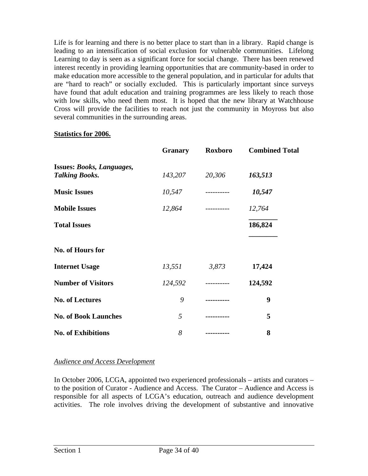Life is for learning and there is no better place to start than in a library. Rapid change is leading to an intensification of social exclusion for vulnerable communities. Lifelong Learning to day is seen as a significant force for social change. There has been renewed interest recently in providing learning opportunities that are community-based in order to make education more accessible to the general population, and in particular for adults that are "hard to reach" or socially excluded. This is particularly important since surveys have found that adult education and training programmes are less likely to reach those with low skills, who need them most. It is hoped that the new library at Watchhouse Cross will provide the facilities to reach not just the community in Moyross but also several communities in the surrounding areas.

#### **Statistics for 2006.**

|                                                           | <b>Granary</b> | Roxboro     | <b>Combined Total</b> |
|-----------------------------------------------------------|----------------|-------------|-----------------------|
| <b>Issues: Books, Languages,</b><br><b>Talking Books.</b> | 143,207        | 20,306      | 163,513               |
| <b>Music Issues</b>                                       | 10,547         | ----------  | 10,547                |
| <b>Mobile Issues</b>                                      | 12,864         | ----------  | 12,764                |
| <b>Total Issues</b>                                       |                |             | 186,824               |
| No. of Hours for                                          |                |             |                       |
| <b>Internet Usage</b>                                     | 13,551         | 3,873       | 17,424                |
| <b>Number of Visitors</b>                                 | 124,592        | ----------- | 124,592               |
| <b>No. of Lectures</b>                                    | 9              | .           | 9                     |
| <b>No. of Book Launches</b>                               | 5              |             | 5                     |
| <b>No. of Exhibitions</b>                                 | 8              |             | 8                     |

## *Audience and Access Development*

In October 2006, LCGA, appointed two experienced professionals – artists and curators – to the position of Curator - Audience and Access. The Curator – Audience and Access is responsible for all aspects of LCGA's education, outreach and audience development activities. The role involves driving the development of substantive and innovative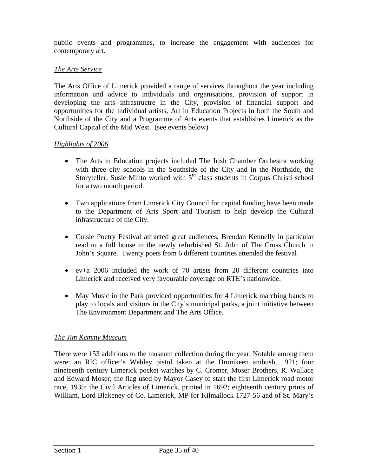public events and programmes, to increase the engagement with audiences for contemporary art.

## *The Arts Service*

The Arts Office of Limerick provided a range of services throughout the year including information and advice to individuals and organisations, provision of support in developing the arts infrastructre in the City, provision of financial support and opportunities for the individual artists, Art in Education Projects in both the South and Northside of the City and a Programme of Arts events that establishes Limerick as the Cultural Capital of the Mid West. (see events below)

## *Highlights of 2006*

- The Arts in Education projects included The Irish Chamber Orchestra working with three city schools in the Southside of the City and in the Northside, the Storyteller, Susie Minto worked with  $5<sup>th</sup>$  class students in Corpus Christi school for a two month period.
- Two applications from Limerick City Council for capital funding have been made to the Department of Arts Sport and Tourism to help develop the Cultural infrastructure of the City.
- Cuisle Poetry Festival attracted great audiences, Brendan Kennelly in particular read to a full house in the newly refurbished St. John of The Cross Church in John's Square. Twenty poets from 6 different countries attended the festival
- ev+a 2006 included the work of 70 artists from 20 different countries into Limerick and received very favourable coverage on RTE's nationwide.
- May Music in the Park provided opportunities for 4 Limerick marching bands to play to locals and visitors in the City's municipal parks, a joint initiative between The Environment Department and The Arts Office.

## *The Jim Kemmy Museum*

There were 153 additions to the museum collection during the year. Notable among them were: an RIC officer's Webley pistol taken at the Dromkeen ambush, 1921; four nineteenth century Limerick pocket watches by C. Cromer, Moser Brothers, R. Wallace and Edward Moser; the flag used by Mayor Casey to start the first Limerick road motor race, 1935; the Civil Articles of Limerick, printed in 1692; eighteenth century prints of William, Lord Blakeney of Co. Limerick, MP for Kilmallock 1727-56 and of St. Mary's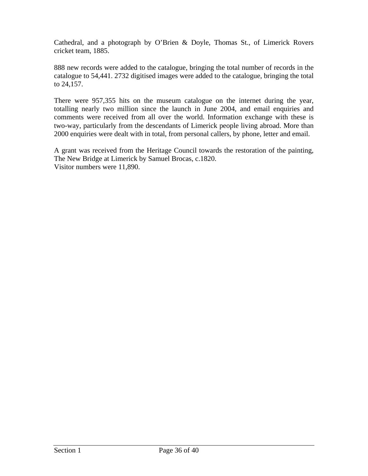Cathedral, and a photograph by O'Brien & Doyle, Thomas St., of Limerick Rovers cricket team, 1885.

888 new records were added to the catalogue, bringing the total number of records in the catalogue to 54,441. 2732 digitised images were added to the catalogue, bringing the total to 24,157.

There were 957,355 hits on the museum catalogue on the internet during the year, totalling nearly two million since the launch in June 2004, and email enquiries and comments were received from all over the world. Information exchange with these is two-way, particularly from the descendants of Limerick people living abroad. More than 2000 enquiries were dealt with in total, from personal callers, by phone, letter and email.

A grant was received from the Heritage Council towards the restoration of the painting, The New Bridge at Limerick by Samuel Brocas, c.1820. Visitor numbers were 11,890.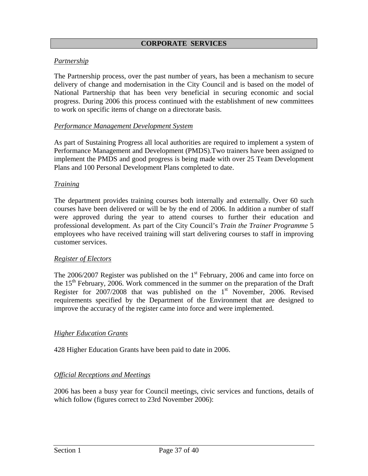#### **CORPORATE SERVICES**

### *Partnership*

The Partnership process, over the past number of years, has been a mechanism to secure delivery of change and modernisation in the City Council and is based on the model of National Partnership that has been very beneficial in securing economic and social progress. During 2006 this process continued with the establishment of new committees to work on specific items of change on a directorate basis.

#### *Performance Management Development System*

As part of Sustaining Progress all local authorities are required to implement a system of Performance Management and Development (PMDS).Two trainers have been assigned to implement the PMDS and good progress is being made with over 25 Team Development Plans and 100 Personal Development Plans completed to date.

#### *Training*

The department provides training courses both internally and externally. Over 60 such courses have been delivered or will be by the end of 2006. In addition a number of staff were approved during the year to attend courses to further their education and professional development. As part of the City Council's *Train the Trainer Programme* 5 employees who have received training will start delivering courses to staff in improving customer services.

#### *Register of Electors*

The  $2006/2007$  Register was published on the  $1<sup>st</sup>$  February, 2006 and came into force on the  $15<sup>th</sup>$  February, 2006. Work commenced in the summer on the preparation of the Draft Register for  $2007/2008$  that was published on the 1<sup>st</sup> November, 2006. Revised requirements specified by the Department of the Environment that are designed to improve the accuracy of the register came into force and were implemented.

#### *Higher Education Grants*

428 Higher Education Grants have been paid to date in 2006.

#### *Official Receptions and Meetings*

2006 has been a busy year for Council meetings, civic services and functions, details of which follow (figures correct to 23rd November 2006):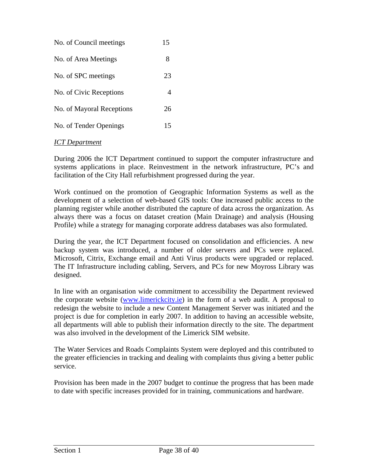| No. of Council meetings   | 15 |
|---------------------------|----|
| No. of Area Meetings      | 8  |
| No. of SPC meetings       | 23 |
| No. of Civic Receptions   | 4  |
| No. of Mayoral Receptions | 26 |
| No. of Tender Openings    | 15 |

## *ICT Department*

During 2006 the ICT Department continued to support the computer infrastructure and systems applications in place. Reinvestment in the network infrastructure, PC's and facilitation of the City Hall refurbishment progressed during the year.

Work continued on the promotion of Geographic Information Systems as well as the development of a selection of web-based GIS tools: One increased public access to the planning register while another distributed the capture of data across the organization. As always there was a focus on dataset creation (Main Drainage) and analysis (Housing Profile) while a strategy for managing corporate address databases was also formulated.

During the year, the ICT Department focused on consolidation and efficiencies. A new backup system was introduced, a number of older servers and PCs were replaced. Microsoft, Citrix, Exchange email and Anti Virus products were upgraded or replaced. The IT Infrastructure including cabling, Servers, and PCs for new Moyross Library was designed.

In line with an organisation wide commitment to accessibility the Department reviewed the corporate website [\(www.limerickcity.ie](http://www.limerickcity.ie/)) in the form of a web audit. A proposal to redesign the website to include a new Content Management Server was initiated and the project is due for completion in early 2007. In addition to having an accessible website, all departments will able to publish their information directly to the site. The department was also involved in the development of the Limerick SIM website.

The Water Services and Roads Complaints System were deployed and this contributed to the greater efficiencies in tracking and dealing with complaints thus giving a better public service.

Provision has been made in the 2007 budget to continue the progress that has been made to date with specific increases provided for in training, communications and hardware.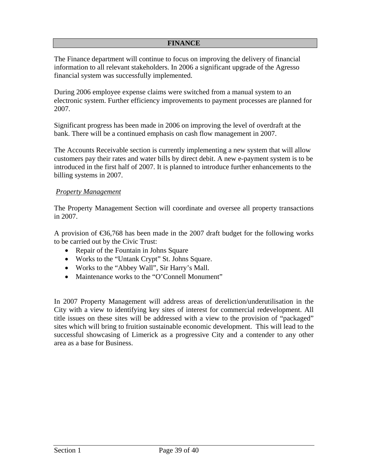#### **FINANCE**

The Finance department will continue to focus on improving the delivery of financial information to all relevant stakeholders. In 2006 a significant upgrade of the Agresso financial system was successfully implemented.

During 2006 employee expense claims were switched from a manual system to an electronic system. Further efficiency improvements to payment processes are planned for 2007.

Significant progress has been made in 2006 on improving the level of overdraft at the bank. There will be a continued emphasis on cash flow management in 2007.

The Accounts Receivable section is currently implementing a new system that will allow customers pay their rates and water bills by direct debit. A new e-payment system is to be introduced in the first half of 2007. It is planned to introduce further enhancements to the billing systems in 2007.

#### *Property Management*

The Property Management Section will coordinate and oversee all property transactions in 2007.

A provision of  $\epsilon$ 36,768 has been made in the 2007 draft budget for the following works to be carried out by the Civic Trust:

- Repair of the Fountain in Johns Square
- Works to the "Untank Crypt" St. Johns Square.
- Works to the "Abbey Wall", Sir Harry's Mall.
- Maintenance works to the "O'Connell Monument"

In 2007 Property Management will address areas of dereliction/underutilisation in the City with a view to identifying key sites of interest for commercial redevelopment. All title issues on these sites will be addressed with a view to the provision of "packaged" sites which will bring to fruition sustainable economic development. This will lead to the successful showcasing of Limerick as a progressive City and a contender to any other area as a base for Business.